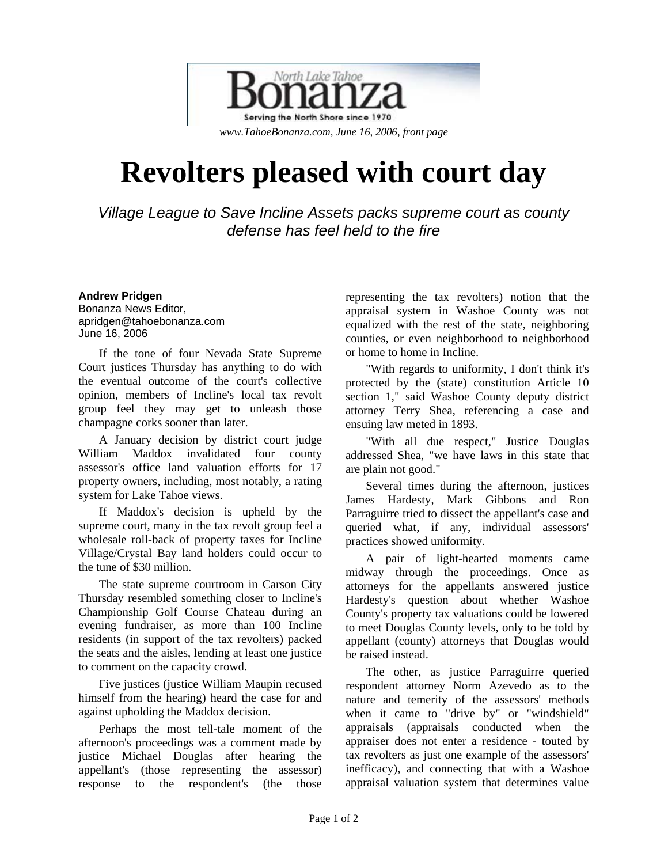

## **Revolters pleased with court day**

*Village League to Save Incline Assets packs supreme court as county defense has feel held to the fire* 

**Andrew Pridgen**  Bonanza News Editor, apridgen@tahoebonanza.com June 16, 2006

If the tone of four Nevada State Supreme Court justices Thursday has anything to do with the eventual outcome of the court's collective opinion, members of Incline's local tax revolt group feel they may get to unleash those champagne corks sooner than later.

A January decision by district court judge William Maddox invalidated four county assessor's office land valuation efforts for 17 property owners, including, most notably, a rating system for Lake Tahoe views.

If Maddox's decision is upheld by the supreme court, many in the tax revolt group feel a wholesale roll-back of property taxes for Incline Village/Crystal Bay land holders could occur to the tune of \$30 million.

The state supreme courtroom in Carson City Thursday resembled something closer to Incline's Championship Golf Course Chateau during an evening fundraiser, as more than 100 Incline residents (in support of the tax revolters) packed the seats and the aisles, lending at least one justice to comment on the capacity crowd.

Five justices (justice William Maupin recused himself from the hearing) heard the case for and against upholding the Maddox decision.

Perhaps the most tell-tale moment of the afternoon's proceedings was a comment made by justice Michael Douglas after hearing the appellant's (those representing the assessor) response to the respondent's (the those

representing the tax revolters) notion that the appraisal system in Washoe County was not equalized with the rest of the state, neighboring counties, or even neighborhood to neighborhood or home to home in Incline.

"With regards to uniformity, I don't think it's protected by the (state) constitution Article 10 section 1," said Washoe County deputy district attorney Terry Shea, referencing a case and ensuing law meted in 1893.

"With all due respect," Justice Douglas addressed Shea, "we have laws in this state that are plain not good."

Several times during the afternoon, justices James Hardesty, Mark Gibbons and Ron Parraguirre tried to dissect the appellant's case and queried what, if any, individual assessors' practices showed uniformity.

A pair of light-hearted moments came midway through the proceedings. Once as attorneys for the appellants answered justice Hardesty's question about whether Washoe County's property tax valuations could be lowered to meet Douglas County levels, only to be told by appellant (county) attorneys that Douglas would be raised instead.

The other, as justice Parraguirre queried respondent attorney Norm Azevedo as to the nature and temerity of the assessors' methods when it came to "drive by" or "windshield" appraisals (appraisals conducted when the appraiser does not enter a residence - touted by tax revolters as just one example of the assessors' inefficacy), and connecting that with a Washoe appraisal valuation system that determines value